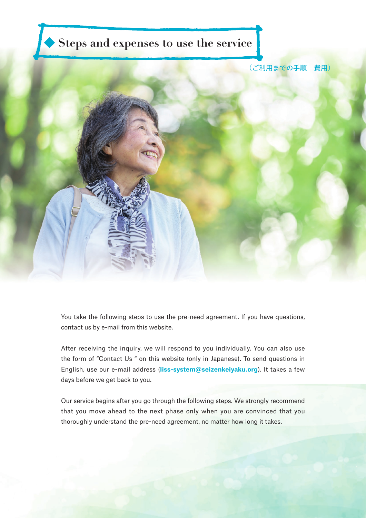

You take the following steps to use the pre-need agreement. If you have questions, contact us by e-mail from this website.

After receiving the inquiry, we will respond to you individually. You can also use the form of "Contact Us " on this website (only in Japanese). To send questions in English, use our e-mail address (**liss-system@seizenkeiyaku.org**). It takes a few days before we get back to you.

Our service begins after you go through the following steps. We strongly recommend that you move ahead to the next phase only when you are convinced that you thoroughly understand the pre-need agreement, no matter how long it takes.